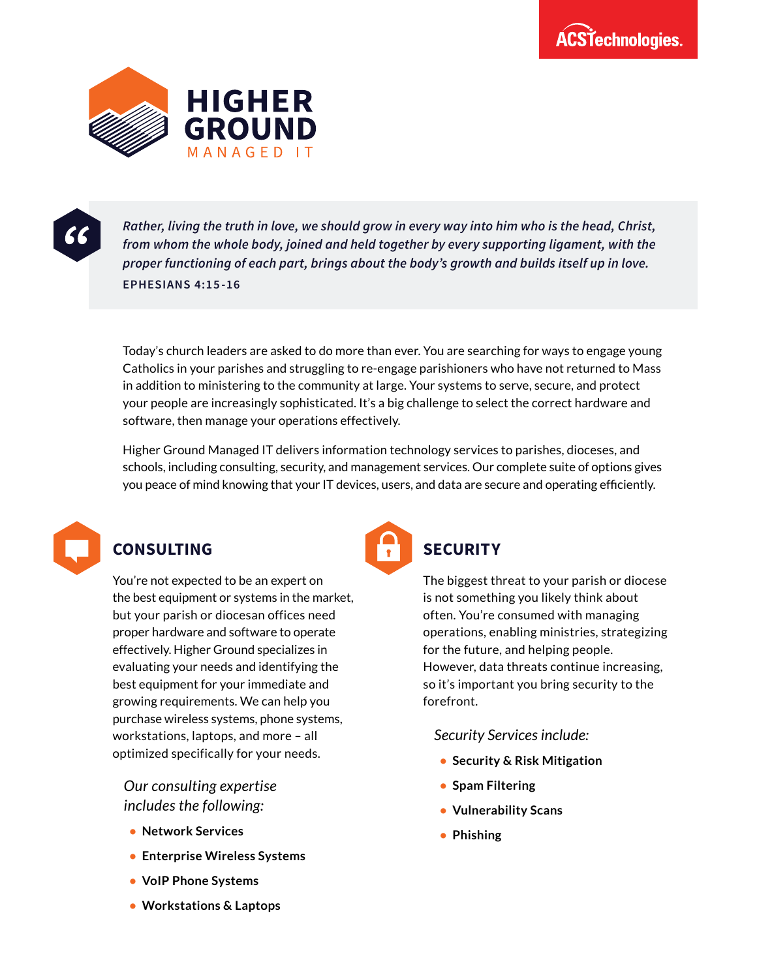



*Rather, living the truth in love, we should grow in every way into him who is the head, Christ, from whom the whole body, joined and held together by every supporting ligament, with the proper functioning of each part, brings about the body's growth and builds itself up in love.* **EPHESIANS 4:15-16**

Today's church leaders are asked to do more than ever. You are searching for ways to engage young Catholics in your parishes and struggling to re-engage parishioners who have not returned to Mass in addition to ministering to the community at large. Your systems to serve, secure, and protect your people are increasingly sophisticated. It's a big challenge to select the correct hardware and software, then manage your operations effectively.

Higher Ground Managed IT delivers information technology services to parishes, dioceses, and schools, including consulting, security, and management services. Our complete suite of options gives you peace of mind knowing that your IT devices, users, and data are secure and operating efficiently.



## **CONSULTING**

You're not expected to be an expert on the best equipment or systems in the market, but your parish or diocesan offices need proper hardware and software to operate effectively. Higher Ground specializes in evaluating your needs and identifying the best equipment for your immediate and growing requirements. We can help you purchase wireless systems, phone systems, workstations, laptops, and more – all optimized specifically for your needs.

*Our consulting expertise includes the following:* 

- **Network Services**
- **Enterprise Wireless Systems**
- **VoIP Phone Systems**
- **Workstations & Laptops**



### **SECURITY**

The biggest threat to your parish or diocese is not something you likely think about often. You're consumed with managing operations, enabling ministries, strategizing for the future, and helping people. However, data threats continue increasing, so it's important you bring security to the forefront.

*Security Services include:*

- **Security & Risk Mitigation**
- **Spam Filtering**
- **Vulnerability Scans**
- **Phishing**